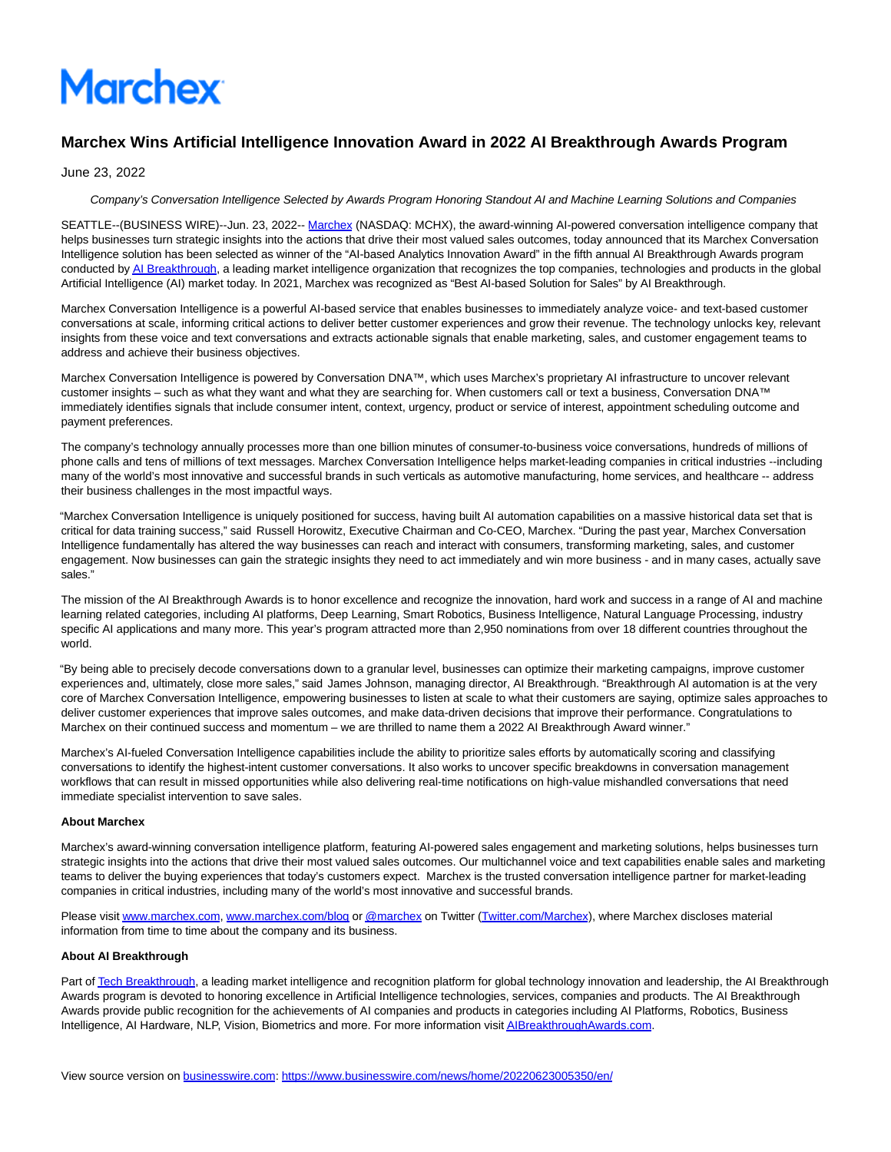# **Marchex**

# **Marchex Wins Artificial Intelligence Innovation Award in 2022 AI Breakthrough Awards Program**

June 23, 2022

## Company's Conversation Intelligence Selected by Awards Program Honoring Standout AI and Machine Learning Solutions and Companies

SEATTLE--(BUSINESS WIRE)--Jun. 23, 2022-- [Marchex \(](https://cts.businesswire.com/ct/CT?id=smartlink&url=https%3A%2F%2Fwww.marchex.com%2F&esheet=52759507&newsitemid=20220623005350&lan=en-US&anchor=Marchex&index=1&md5=750e7c693dafb82416732f70f8ea55a8)NASDAQ: MCHX), the award-winning AI-powered conversation intelligence company that helps businesses turn strategic insights into the actions that drive their most valued sales outcomes, today announced that its Marchex Conversation Intelligence solution has been selected as winner of the "AI-based Analytics Innovation Award" in the fifth annual AI Breakthrough Awards program conducted b[y AI Breakthrough,](https://cts.businesswire.com/ct/CT?id=smartlink&url=https%3A%2F%2Faibreakthroughawards.com%2F&esheet=52759507&newsitemid=20220623005350&lan=en-US&anchor=AI+Breakthrough&index=2&md5=93848e3e8ca5a63cb01a7335b92ebd4f) a leading market intelligence organization that recognizes the top companies, technologies and products in the global Artificial Intelligence (AI) market today. In 2021, Marchex was recognized as "Best AI-based Solution for Sales" by AI Breakthrough.

Marchex Conversation Intelligence is a powerful AI-based service that enables businesses to immediately analyze voice- and text-based customer conversations at scale, informing critical actions to deliver better customer experiences and grow their revenue. The technology unlocks key, relevant insights from these voice and text conversations and extracts actionable signals that enable marketing, sales, and customer engagement teams to address and achieve their business objectives.

Marchex Conversation Intelligence is powered by Conversation DNA™, which uses Marchex's proprietary AI infrastructure to uncover relevant customer insights – such as what they want and what they are searching for. When customers call or text a business, Conversation DNA™ immediately identifies signals that include consumer intent, context, urgency, product or service of interest, appointment scheduling outcome and payment preferences.

The company's technology annually processes more than one billion minutes of consumer-to-business voice conversations, hundreds of millions of phone calls and tens of millions of text messages. Marchex Conversation Intelligence helps market-leading companies in critical industries --including many of the world's most innovative and successful brands in such verticals as automotive manufacturing, home services, and healthcare -- address their business challenges in the most impactful ways.

"Marchex Conversation Intelligence is uniquely positioned for success, having built AI automation capabilities on a massive historical data set that is critical for data training success," said Russell Horowitz, Executive Chairman and Co-CEO, Marchex. "During the past year, Marchex Conversation Intelligence fundamentally has altered the way businesses can reach and interact with consumers, transforming marketing, sales, and customer engagement. Now businesses can gain the strategic insights they need to act immediately and win more business - and in many cases, actually save sales."

The mission of the AI Breakthrough Awards is to honor excellence and recognize the innovation, hard work and success in a range of AI and machine learning related categories, including AI platforms, Deep Learning, Smart Robotics, Business Intelligence, Natural Language Processing, industry specific AI applications and many more. This year's program attracted more than 2,950 nominations from over 18 different countries throughout the world.

"By being able to precisely decode conversations down to a granular level, businesses can optimize their marketing campaigns, improve customer experiences and, ultimately, close more sales," said James Johnson, managing director, AI Breakthrough. "Breakthrough AI automation is at the very core of Marchex Conversation Intelligence, empowering businesses to listen at scale to what their customers are saying, optimize sales approaches to deliver customer experiences that improve sales outcomes, and make data-driven decisions that improve their performance. Congratulations to Marchex on their continued success and momentum – we are thrilled to name them a 2022 AI Breakthrough Award winner."

Marchex's AI-fueled Conversation Intelligence capabilities include the ability to prioritize sales efforts by automatically scoring and classifying conversations to identify the highest-intent customer conversations. It also works to uncover specific breakdowns in conversation management workflows that can result in missed opportunities while also delivering real-time notifications on high-value mishandled conversations that need immediate specialist intervention to save sales.

### **About Marchex**

Marchex's award-winning conversation intelligence platform, featuring AI-powered sales engagement and marketing solutions, helps businesses turn strategic insights into the actions that drive their most valued sales outcomes. Our multichannel voice and text capabilities enable sales and marketing teams to deliver the buying experiences that today's customers expect. Marchex is the trusted conversation intelligence partner for market-leading companies in critical industries, including many of the world's most innovative and successful brands.

Please visi[t www.marchex.com,](https://cts.businesswire.com/ct/CT?id=smartlink&url=http%3A%2F%2Fwww.marchex.com&esheet=52759507&newsitemid=20220623005350&lan=en-US&anchor=www.marchex.com&index=3&md5=08ee97bb0f6f15451786a00807738ab1) [www.marchex.com/blog o](https://cts.businesswire.com/ct/CT?id=smartlink&url=http%3A%2F%2Fwww.marchex.com%2Fblog&esheet=52759507&newsitemid=20220623005350&lan=en-US&anchor=www.marchex.com%2Fblog&index=4&md5=9e762adb027cfcde1c5767420d80281e)[r @marchex o](https://cts.businesswire.com/ct/CT?id=smartlink&url=https%3A%2F%2Ftwitter.com%2Fmarchex&esheet=52759507&newsitemid=20220623005350&lan=en-US&anchor=%40marchex&index=5&md5=6d2e9a0114da8b155144c7b9a22cf831)n Twitter [\(Twitter.com/Marchex\)](https://cts.businesswire.com/ct/CT?id=smartlink&url=https%3A%2F%2Ftwitter.com%2Fmarchex&esheet=52759507&newsitemid=20220623005350&lan=en-US&anchor=Twitter.com%2FMarchex&index=6&md5=cfebccbb89b08773b541a2e32a9b701c), where Marchex discloses material information from time to time about the company and its business.

### **About AI Breakthrough**

Part o[f Tech Breakthrough,](https://cts.businesswire.com/ct/CT?id=smartlink&url=https%3A%2F%2Ftechbreakthrough.com%2F&esheet=52759507&newsitemid=20220623005350&lan=en-US&anchor=Tech+Breakthrough&index=7&md5=47efa832dd540887ea9865175334199f) a leading market intelligence and recognition platform for global technology innovation and leadership, the AI Breakthrough Awards program is devoted to honoring excellence in Artificial Intelligence technologies, services, companies and products. The AI Breakthrough Awards provide public recognition for the achievements of AI companies and products in categories including AI Platforms, Robotics, Business Intelligence, AI Hardware, NLP, Vision, Biometrics and more. For more information visi[t AIBreakthroughAwards.com.](https://cts.businesswire.com/ct/CT?id=smartlink&url=https%3A%2F%2Faibreakthroughawards.com%2F&esheet=52759507&newsitemid=20220623005350&lan=en-US&anchor=AIBreakthroughAwards.com&index=8&md5=def59e862c6c5b6c8a94f26055e110c5)